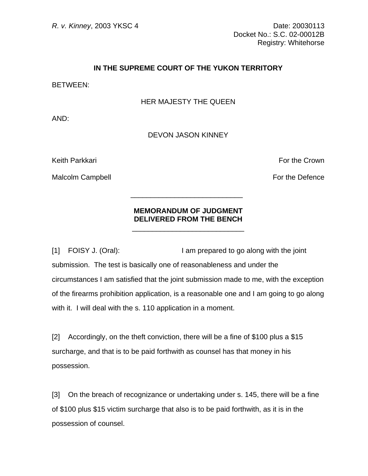*R. v. Kinney*, 2003 YKSC 4 Date: 20030113 Docket No.: S.C. 02-00012B Registry: Whitehorse

## **IN THE SUPREME COURT OF THE YUKON TERRITORY**

BETWEEN:

## HER MAJESTY THE QUEEN

AND:

## DEVON JASON KINNEY

Keith Parkkari For the Crown Control of the Crown Executive Crown Executive Crown For the Crown

Malcolm Campbell **For the Defence** 

## **MEMORANDUM OF JUDGMENT DELIVERED FROM THE BENCH**

 $\frac{1}{2}$  , and the set of the set of the set of the set of the set of the set of the set of the set of the set of the set of the set of the set of the set of the set of the set of the set of the set of the set of the set

 $\frac{1}{\sqrt{2}}$  ,  $\frac{1}{\sqrt{2}}$  ,  $\frac{1}{\sqrt{2}}$  ,  $\frac{1}{\sqrt{2}}$  ,  $\frac{1}{\sqrt{2}}$  ,  $\frac{1}{\sqrt{2}}$  ,  $\frac{1}{\sqrt{2}}$  ,  $\frac{1}{\sqrt{2}}$  ,  $\frac{1}{\sqrt{2}}$  ,  $\frac{1}{\sqrt{2}}$  ,  $\frac{1}{\sqrt{2}}$  ,  $\frac{1}{\sqrt{2}}$  ,  $\frac{1}{\sqrt{2}}$  ,  $\frac{1}{\sqrt{2}}$  ,  $\frac{1}{\sqrt{2}}$ 

[1] FOISY J. (Oral): I am prepared to go along with the joint submission. The test is basically one of reasonableness and under the circumstances I am satisfied that the joint submission made to me, with the exception of the firearms prohibition application, is a reasonable one and I am going to go along with it. I will deal with the s. 110 application in a moment.

[2] Accordingly, on the theft conviction, there will be a fine of \$100 plus a \$15 surcharge, and that is to be paid forthwith as counsel has that money in his possession.

[3] On the breach of recognizance or undertaking under s. 145, there will be a fine of \$100 plus \$15 victim surcharge that also is to be paid forthwith, as it is in the possession of counsel.